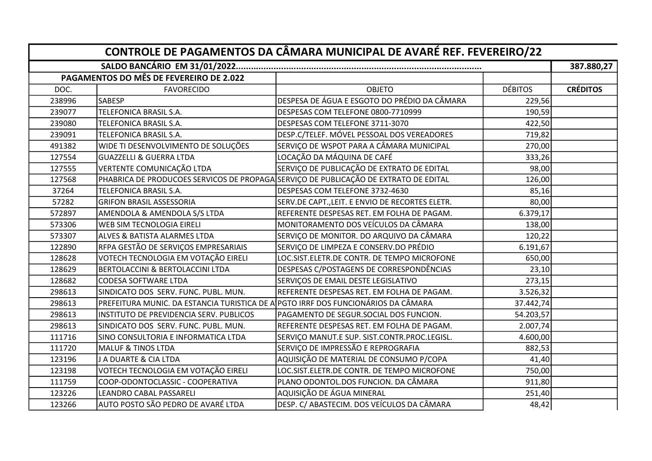| CONTROLE DE PAGAMENTOS DA CÂMARA MUNICIPAL DE AVARÉ REF. FEVEREIRO/22 |                                                                                      |                                                 |                |                 |  |  |  |
|-----------------------------------------------------------------------|--------------------------------------------------------------------------------------|-------------------------------------------------|----------------|-----------------|--|--|--|
|                                                                       |                                                                                      |                                                 |                |                 |  |  |  |
|                                                                       | PAGAMENTOS DO MÊS DE FEVEREIRO DE 2.022                                              |                                                 |                | 387.880,27      |  |  |  |
| DOC.                                                                  | <b>FAVORECIDO</b>                                                                    | <b>OBJETO</b>                                   | <b>DÉBITOS</b> | <b>CRÉDITOS</b> |  |  |  |
| 238996                                                                | <b>SABESP</b>                                                                        | DESPESA DE ÁGUA E ESGOTO DO PRÉDIO DA CÂMARA    | 229,56         |                 |  |  |  |
| 239077                                                                | TELEFONICA BRASIL S.A.                                                               | DESPESAS COM TELEFONE 0800-7710999              | 190,59         |                 |  |  |  |
| 239080                                                                | TELEFONICA BRASIL S.A.                                                               | DESPESAS COM TELEFONE 3711-3070                 | 422,50         |                 |  |  |  |
| 239091                                                                | TELEFONICA BRASIL S.A.                                                               | DESP.C/TELEF. MÓVEL PESSOAL DOS VEREADORES      | 719,82         |                 |  |  |  |
| 491382                                                                | WIDE TI DESENVOLVIMENTO DE SOLUÇÕES                                                  | SERVIÇO DE WSPOT PARA A CÂMARA MUNICIPAL        | 270,00         |                 |  |  |  |
| 127554                                                                | <b>GUAZZELLI &amp; GUERRA LTDA</b>                                                   | LOCAÇÃO DA MÁQUINA DE CAFÉ                      | 333,26         |                 |  |  |  |
| 127555                                                                | VERTENTE COMUNICAÇÃO LTDA                                                            | SERVIÇO DE PUBLICAÇÃO DE EXTRATO DE EDITAL      | 98,00          |                 |  |  |  |
| 127568                                                                | PHABRICA DE PRODUCOES SERVICOS DE PROPAGA SERVIÇO DE PUBLICAÇÃO DE EXTRATO DE EDITAL |                                                 | 126,00         |                 |  |  |  |
| 37264                                                                 | TELEFONICA BRASIL S.A.                                                               | DESPESAS COM TELEFONE 3732-4630                 | 85,16          |                 |  |  |  |
| 57282                                                                 | <b>GRIFON BRASIL ASSESSORIA</b>                                                      | SERV.DE CAPT., LEIT. E ENVIO DE RECORTES ELETR. | 80,00          |                 |  |  |  |
| 572897                                                                | AMENDOLA & AMENDOLA S/S LTDA                                                         | REFERENTE DESPESAS RET. EM FOLHA DE PAGAM.      | 6.379,17       |                 |  |  |  |
| 573306                                                                | <b>WEB SIM TECNOLOGIA EIRELI</b>                                                     | MONITORAMENTO DOS VEÍCULOS DA CÂMARA            | 138,00         |                 |  |  |  |
| 573307                                                                | <b>ALVES &amp; BATISTA ALARMES LTDA</b>                                              | SERVIÇO DE MONITOR. DO ARQUIVO DA CÂMARA        | 120,22         |                 |  |  |  |
| 122890                                                                | RFPA GESTÃO DE SERVIÇOS EMPRESARIAIS                                                 | SERVIÇO DE LIMPEZA E CONSERV.DO PRÉDIO          | 6.191,67       |                 |  |  |  |
| 128628                                                                | VOTECH TECNOLOGIA EM VOTAÇÃO EIRELI                                                  | LOC.SIST.ELETR.DE CONTR. DE TEMPO MICROFONE     | 650,00         |                 |  |  |  |
| 128629                                                                | <b>BERTOLACCINI &amp; BERTOLACCINI LTDA</b>                                          | DESPESAS C/POSTAGENS DE CORRESPONDÊNCIAS        | 23,10          |                 |  |  |  |
| 128682                                                                | <b>CODESA SOFTWARE LTDA</b>                                                          | SERVIÇOS DE EMAIL DESTE LEGISLATIVO             | 273,15         |                 |  |  |  |
| 298613                                                                | SINDICATO DOS SERV. FUNC. PUBL. MUN.                                                 | REFERENTE DESPESAS RET. EM FOLHA DE PAGAM.      | 3.526,32       |                 |  |  |  |
| 298613                                                                | PREFEITURA MUNIC. DA ESTANCIA TURISTICA DE A PGTO IRRF DOS FUNCIONÁRIOS DA CÂMARA    |                                                 | 37.442,74      |                 |  |  |  |
| 298613                                                                | INSTITUTO DE PREVIDENCIA SERV. PUBLICOS                                              | PAGAMENTO DE SEGUR.SOCIAL DOS FUNCION.          | 54.203,57      |                 |  |  |  |
| 298613                                                                | SINDICATO DOS SERV. FUNC. PUBL. MUN.                                                 | REFERENTE DESPESAS RET. EM FOLHA DE PAGAM.      | 2.007,74       |                 |  |  |  |
| 111716                                                                | SINO CONSULTORIA E INFORMATICA LTDA                                                  | SERVIÇO MANUT.E SUP. SIST.CONTR.PROC.LEGISL.    | 4.600,00       |                 |  |  |  |
| 111720                                                                | <b>MALUF &amp; TINOS LTDA</b>                                                        | SERVIÇO DE IMPRESSÃO E REPROGRAFIA              | 882,53         |                 |  |  |  |
| 123196                                                                | J A DUARTE & CIA LTDA                                                                | AQUISIÇÃO DE MATERIAL DE CONSUMO P/COPA         | 41,40          |                 |  |  |  |
| 123198                                                                | VOTECH TECNOLOGIA EM VOTAÇÃO EIRELI                                                  | LOC.SIST.ELETR.DE CONTR. DE TEMPO MICROFONE     | 750,00         |                 |  |  |  |
| 111759                                                                | COOP-ODONTOCLASSIC - COOPERATIVA                                                     | PLANO ODONTOL.DOS FUNCION. DA CÂMARA            | 911,80         |                 |  |  |  |
| 123226                                                                | LEANDRO CABAL PASSARELI                                                              | AQUISIÇÃO DE ÁGUA MINERAL                       | 251,40         |                 |  |  |  |
| 123266                                                                | AUTO POSTO SÃO PEDRO DE AVARÉ LTDA                                                   | DESP. C/ ABASTECIM. DOS VEÍCULOS DA CÂMARA      | 48,42          |                 |  |  |  |